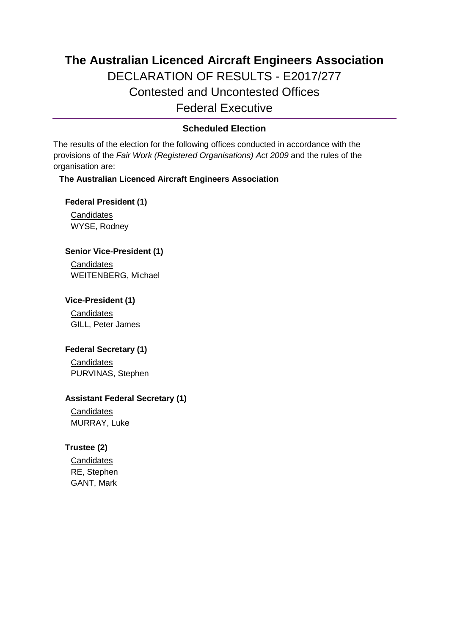# **The Australian Licenced Aircraft Engineers Association** DECLARATION OF RESULTS - E2017/277 Contested and Uncontested Offices Federal Executive

## **Scheduled Election**

The results of the election for the following offices conducted in accordance with the provisions of the *Fair Work (Registered Organisations) Act 2009* and the rules of the organisation are:

## **The Australian Licenced Aircraft Engineers Association**

**Federal President (1)**

**Candidates** WYSE, Rodney

#### **Senior Vice-President (1)**

**Candidates** WEITENBERG, Michael

## **Vice-President (1)**

**Candidates** GILL, Peter James

## **Federal Secretary (1)**

**Candidates** PURVINAS, Stephen

#### **Assistant Federal Secretary (1)**

**Candidates** MURRAY, Luke

## **Trustee (2)**

**Candidates** RE, Stephen GANT, Mark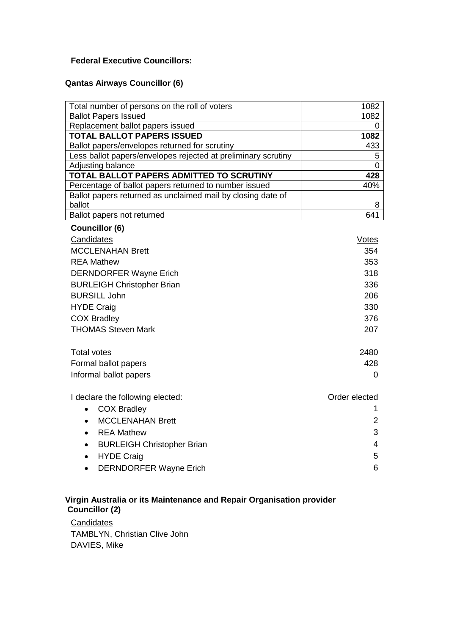## **Federal Executive Councillors:**

## **Qantas Airways Councillor (6)**

| Total number of persons on the roll of voters                         | 1082           |
|-----------------------------------------------------------------------|----------------|
| <b>Ballot Papers Issued</b>                                           | 1082           |
| Replacement ballot papers issued                                      | 0              |
| <b>TOTAL BALLOT PAPERS ISSUED</b>                                     | 1082           |
| Ballot papers/envelopes returned for scrutiny                         | 433            |
| Less ballot papers/envelopes rejected at preliminary scrutiny         | 5              |
| Adjusting balance                                                     | 0              |
| TOTAL BALLOT PAPERS ADMITTED TO SCRUTINY                              | 428            |
| Percentage of ballot papers returned to number issued                 | 40%            |
| Ballot papers returned as unclaimed mail by closing date of<br>ballot | 8              |
| Ballot papers not returned                                            | 641            |
| <b>Councillor (6)</b>                                                 |                |
|                                                                       |                |
| Candidates                                                            | Votes          |
| <b>MCCLENAHAN Brett</b>                                               | 354            |
| <b>REA Mathew</b>                                                     | 353            |
| <b>DERNDORFER Wayne Erich</b>                                         | 318            |
| <b>BURLEIGH Christopher Brian</b>                                     | 336            |
| <b>BURSILL John</b>                                                   | 206            |
| <b>HYDE Craig</b>                                                     | 330            |
| <b>COX Bradley</b>                                                    | 376            |
| <b>THOMAS Steven Mark</b>                                             | 207            |
|                                                                       |                |
| <b>Total votes</b>                                                    | 2480           |
| Formal ballot papers                                                  | 428            |
| Informal ballot papers                                                | 0              |
| I declare the following elected:                                      | Order elected  |
| <b>COX Bradley</b><br>$\bullet$                                       | 1              |
| <b>MCCLENAHAN Brett</b><br>$\bullet$                                  | $\overline{2}$ |
|                                                                       |                |
| <b>REA Mathew</b><br>$\bullet$                                        | 3              |
| <b>BURLEIGH Christopher Brian</b>                                     | 4              |
| <b>HYDE Craig</b>                                                     | 5              |
| <b>DERNDORFER Wayne Erich</b><br>$\bullet$                            | 6              |
|                                                                       |                |

## **Virgin Australia or its Maintenance and Repair Organisation provider Councillor (2)**

**Candidates** TAMBLYN, Christian Clive John DAVIES, Mike